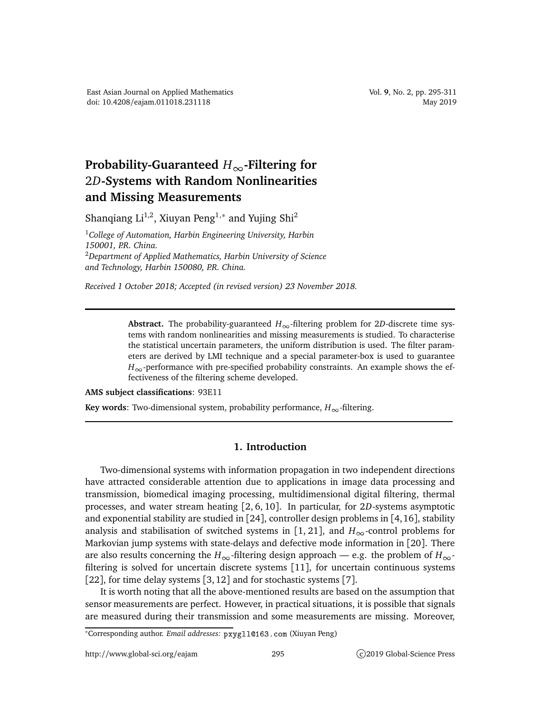## **Probability-Guaranteed** *H*∞**-Filtering for** 2*D***-Systems with Random Nonlinearities and Missing Measurements**

Shanqiang Li<sup>1,2</sup>, Xiuyan Peng<sup>1,\*</sup> and Yujing Shi<sup>2</sup>

<sup>1</sup>*College of Automation, Harbin Engineering University, Harbin 150001, P.R. China.* <sup>2</sup>*Department of Applied Mathematics, Harbin University of Science and Technology, Harbin 150080, P.R. China.*

*Received 1 October 2018; Accepted (in revised version) 23 November 2018.*

Abstract. The probability-guaranteed  $H_{\infty}$ -filtering problem for 2*D*-discrete time systems with random nonlinearities and missing measurements is studied. To characterise the statistical uncertain parameters, the uniform distribution is used. The filter parameters are derived by LMI technique and a special parameter-box is used to guarantee  $H_{\infty}$ -performance with pre-specified probability constraints. An example shows the effectiveness of the filtering scheme developed.

**AMS subject classifications**: 93E11

**Key words:** Two-dimensional system, probability performance,  $H_{\infty}$ -filtering.

## **1. Introduction**

Two-dimensional systems with information propagation in two independent directions have attracted considerable attention due to applications in image data processing and transmission, biomedical imaging processing, multidimensional digital filtering, thermal processes, and water stream heating [2, 6, 10]. In particular, for 2*D*-systems asymptotic and exponential stability are studied in [24], controller design problems in [4,16], stability analysis and stabilisation of switched systems in [1, 21], and  $H_{\infty}$ -control problems for Markovian jump systems with state-delays and defective mode information in [20]. There are also results concerning the *H*<sub>∞</sub>-filtering design approach — e.g. the problem of  $H_{\infty}$ filtering is solved for uncertain discrete systems [11], for uncertain continuous systems [22], for time delay systems [3, 12] and for stochastic systems [7].

It is worth noting that all the above-mentioned results are based on the assumption that sensor measurements are perfect. However, in practical situations, it is possible that signals are measured during their transmission and some measurements are missing. Moreover,

<sup>∗</sup>Corresponding author. *Email addresses:* pxygll163.
om (Xiuyan Peng)